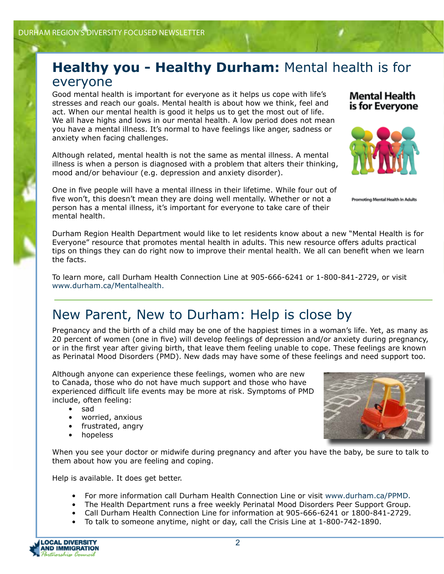# **Healthy you - Healthy Durham:** Mental health is for everyone

Good mental health is important for everyone as it helps us cope with life's stresses and reach our goals. Mental health is about how we think, feel and act. When our mental health is good it helps us to get the most out of life. We all have highs and lows in our mental health. A low period does not mean you have a mental illness. It's normal to have feelings like anger, sadness or anxiety when facing challenges.

Although related, mental health is not the same as mental illness. A mental illness is when a person is diagnosed with a problem that alters their thinking, mood and/or behaviour (e.g. depression and anxiety disorder).

One in five people will have a mental illness in their lifetime. While four out of five won't, this doesn't mean they are doing well mentally. Whether or not a person has a mental illness, it's important for everyone to take care of their mental health.

Durham Region Health Department would like to let residents know about a new "Mental Health is for Everyone" resource that promotes mental health in adults. This new resource offers adults practical tips on things they can do right now to improve their mental health. We all can benefit when we learn the facts.

To learn more, call Durham Health Connection Line at 905-666-6241 or 1-800-841-2729, or visit www.durham.ca/Mentalhealth.

# New Parent, New to Durham: Help is close by

Pregnancy and the birth of a child may be one of the happiest times in a woman's life. Yet, as many as 20 percent of women (one in five) will develop feelings of depression and/or anxiety during pregnancy, or in the first year after giving birth, that leave them feeling unable to cope. These feelings are known as Perinatal Mood Disorders (PMD). New dads may have some of these feelings and need support too.

Although anyone can experience these feelings, women who are new to Canada, those who do not have much support and those who have experienced difficult life events may be more at risk. Symptoms of PMD include, often feeling:

- sad
- worried, anxious
- frustrated, angry
- hopeless

When you see your doctor or midwife during pregnancy and after you have the baby, be sure to talk to them about how you are feeling and coping.

Help is available. It does get better.

- For more information call Durham Health Connection Line or visit www.durham.ca/PPMD.
- The Health Department runs a free weekly Perinatal Mood Disorders Peer Support Group.
- Call Durham Health Connection Line for information at 905-666-6241 or 1800-841-2729.
- To talk to someone anytime, night or day, call the Crisis Line at 1-800-742-1890.







**Mental Health** is for Everyone

Promoting Mental Health In Adults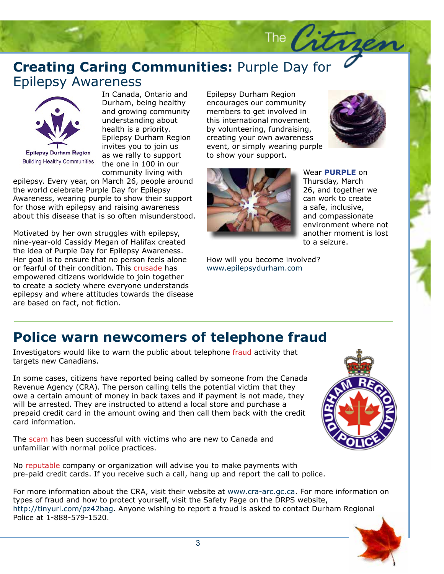# **Creating Caring Communities:** Purple Day for Epilepsy Awareness Epilepsy Awareness



Title to Go Here. Durham, being healthy In Canada, Ontario and and growing community understanding about health is a priority. Epilepsy Durham Region invites you to join us as we rally to support the one in 100 in our community living with

epilepsy. Every year, on March 26, people around the world celebrate Purple Day for Epilepsy Awareness, wearing purple to show their support for those with epilepsy and raising awareness about this disease that is so often misunderstood.

Motivated by her own struggles with epilepsy, nine-year-old Cassidy Megan of Halifax created the idea of Purple Day for Epilepsy Awareness. Her goal is to ensure that no person feels alone or fearful of their condition. This crusade has empowered citizens worldwide to join together to create a society where everyone understands epilepsy and where attitudes towards the disease are based on fact, not fiction.

Epilepsy Durham Region encourages our community members to get involved in this international movement by volunteering, fundraising, creating your own awareness event, or simply wearing purple to show your support.

The  $\beta t$ 





and compassionate<br>environment where<br>another moment is to a seizure.<br>ved? Wear **PURPLE** on Thursday, March 26, and together we can work to create a safe, inclusive, environment where not another moment is lost to a seizure.

 $H_{\text{EOM}}$ How will you become involved? www.epilepsydurham.com

# **Police warn newcomers of telephone fraud**

Investigators would like to warn the public about telephone fraud activity that targets new Canadians.

In some cases, citizens have reported being called by someone from the Canada Revenue Agency (CRA). The person calling tells the potential victim that they owe a certain amount of money in back taxes and if payment is not made, they will be arrested. They are instructed to attend a local store and purchase a prepaid credit card in the amount owing and then call them back with the credit card information.

The scam has been successful with victims who are new to Canada and unfamiliar with normal police practices.

No reputable company or organization will advise you to make payments with pre-paid credit cards. If you receive such a call, hang up and report the call to police.

For more information about the CRA, visit their website at www.cra-arc.gc.ca. For more information on types of fraud and how to protect yourself, visit the Safety Page on the DRPS website, http://tinyurl.com/pz42bag. Anyone wishing to report a fraud is asked to contact Durham Regional Police at 1-888-579-1520.

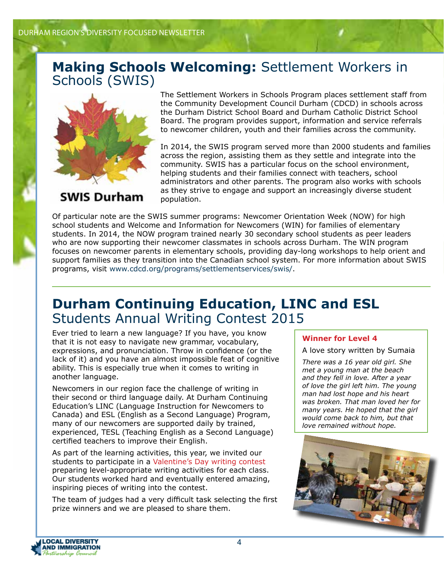### **Making Schools Welcoming:** Settlement Workers in Schools (SWIS)



**SWIS Durham** 

The Settlement Workers in Schools Program places settlement staff from the Community Development Council Durham (CDCD) in schools across the Durham District School Board and Durham Catholic District School Board. The program provides support, information and service referrals to newcomer children, youth and their families across the community.

In 2014, the SWIS program served more than 2000 students and families across the region, assisting them as they settle and integrate into the community. SWIS has a particular focus on the school environment, helping students and their families connect with teachers, school administrators and other parents. The program also works with schools as they strive to engage and support an increasingly diverse student population.

Of particular note are the SWIS summer programs: Newcomer Orientation Week (NOW) for high school students and Welcome and Information for Newcomers (WIN) for families of elementary students. In 2014, the NOW program trained nearly 30 secondary school students as peer leaders who are now supporting their newcomer classmates in schools across Durham. The WIN program focuses on newcomer parents in elementary schools, providing day-long workshops to help orient and support families as they transition into the Canadian school system. For more information about SWIS programs, visit www.cdcd.org/programs/settlementservices/swis/.

# **Durham Continuing Education, LINC and ESL**  Students Annual Writing Contest 2015

Ever tried to learn a new language? If you have, you know that it is not easy to navigate new grammar, vocabulary, expressions, and pronunciation. Throw in confidence (or the lack of it) and you have an almost impossible feat of cognitive ability. This is especially true when it comes to writing in another language.

Newcomers in our region face the challenge of writing in their second or third language daily. At Durham Continuing Education's LINC (Language Instruction for Newcomers to Canada) and ESL (English as a Second Language) Program, many of our newcomers are supported daily by trained, experienced, TESL (Teaching English as a Second Language) certified teachers to improve their English.

As part of the learning activities, this year, we invited our students to participate in a Valentine's Day writing contest preparing level-appropriate writing activities for each class. Our students worked hard and eventually entered amazing, inspiring pieces of writing into the contest.

The team of judges had a very difficult task selecting the first prize winners and we are pleased to share them.

### **Winner for Level 4**

A love story written by Sumaia

*There was a 16 year old girl. She met a young man at the beach and they fell in love. After a year of love the girl left him. The young man had lost hope and his heart was broken. That man loved her for many years. He hoped that the girl would come back to him, but that love remained without hope.* 



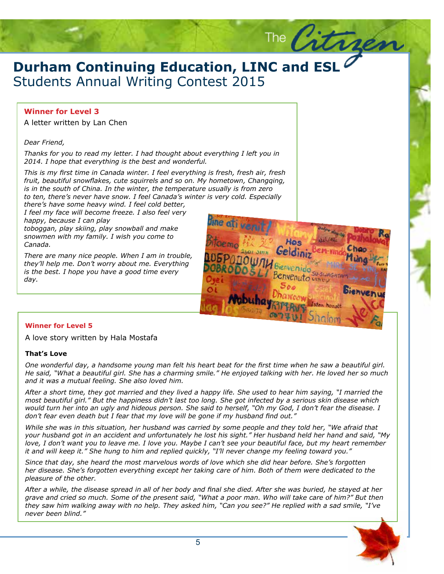# **Durham Continuing Education, LIN**<br>Students Annual Writing Contest 2015 **Durham Continuing Education, LINC and ESL**

# **Title to Go Winner for Level 3**

A letter written by Lan Chen

### *Dear Friend,*

*Thanks for you to read my letter. I had thought about everything I left you in 2014. I hope that everything is the best and wonderful.*

*This is my first time in Canada winter. I feel everything is fresh, fresh air, fresh fruit, beautiful snowflakes, cute squirrels and so on. My hometown, Changqing, is in the south of China. In the winter, the temperature usually is from zero to ten, there's never have snow. I feel Canada's winter is very cold. Especially* 

*there's have some heavy wind. I feel cold better, I feel my face will become freeze. I also feel very happy, because I can play* 

*toboggan, play skiing, play snowball and make snowmen with my family. I wish you come to Canada.*

*There are many nice people. When I am in trouble, they'll help me. Don't worry about me. Everything is the best. I hope you have a good time every day.*



The Citrier

#### **Winner for Level 5**

A love story written by Hala Mostafa

#### **That's Love**

*One wonderful day, a handsome young man felt his heart beat for the first time when he saw a beautiful girl. He said, "What a beautiful girl. She has a charming smile." He enjoyed talking with her. He loved her so much and it was a mutual feeling. She also loved him.*

*After a short time, they got married and they lived a happy life. She used to hear him saying, "I married the most beautiful girl." But the happiness didn't last too long. She got infected by a serious skin disease which would turn her into an ugly and hideous person. She said to herself, "Oh my God, I don't fear the disease. I don't fear even death but I fear that my love will be gone if my husband find out."* 

*While she was in this situation, her husband was carried by some people and they told her, "We afraid that your husband got in an accident and unfortunately he lost his sight." Her husband held her hand and said, "My love, I don't want you to leave me. I love you. Maybe I can't see your beautiful face, but my heart remember it and will keep it." She hung to him and replied quickly, "I'll never change my feeling toward you."*

*Since that day, she heard the most marvelous words of love which she did hear before. She's forgotten her disease. She's forgotten everything except her taking care of him. Both of them were dedicated to the pleasure of the other.* 

*After a while, the disease spread in all of her body and final she died. After she was buried, he stayed at her grave and cried so much. Some of the present said, "What a poor man. Who will take care of him?" But then they saw him walking away with no help. They asked him, "Can you see?" He replied with a sad smile, "I've never been blind."*

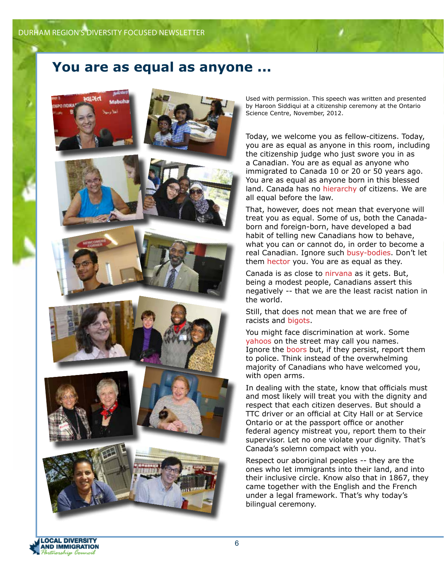### **You are as equal as anyone ...**















Used with permission. This speech was written and presented by Haroon Siddiqui at a citizenship ceremony at the Ontario Science Centre, November, 2012.

Today, we welcome you as fellow-citizens. Today, you are as equal as anyone in this room, including the citizenship judge who just swore you in as a Canadian. You are as equal as anyone who immigrated to Canada 10 or 20 or 50 years ago. You are as equal as anyone born in this blessed land. Canada has no hierarchy of citizens. We are all equal before the law.

That, however, does not mean that everyone will treat you as equal. Some of us, both the Canadaborn and foreign-born, have developed a bad habit of telling new Canadians how to behave, what you can or cannot do, in order to become a real Canadian. Ignore such busy-bodies. Don't let them hector you. You are as equal as they.

Canada is as close to nirvana as it gets. But, being a modest people, Canadians assert this negatively -- that we are the least racist nation in the world.

Still, that does not mean that we are free of racists and bigots.

You might face discrimination at work. Some yahoos on the street may call you names. Ignore the boors but, if they persist, report them to police. Think instead of the overwhelming majority of Canadians who have welcomed you, with open arms.

In dealing with the state, know that officials must and most likely will treat you with the dignity and respect that each citizen deserves. But should a TTC driver or an official at City Hall or at Service Ontario or at the passport office or another federal agency mistreat you, report them to their supervisor. Let no one violate your dignity. That's Canada's solemn compact with you.

Respect our aboriginal peoples -- they are the ones who let immigrants into their land, and into their inclusive circle. Know also that in 1867, they came together with the English and the French under a legal framework. That's why today's bilingual ceremony.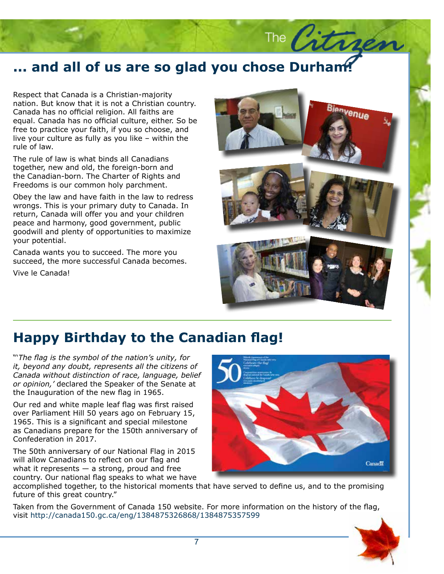# ... and all of us are so glad you chose Durham!<br>————————————————————

Respect that Canada is a Christian-majority nation. But know that it is not a Christian country. Canada has no official religion. All faiths are equal. Canada has no official culture, either. So be free to practice your faith, if you so choose, and live your culture as fully as you like – within the rule of law.

The rule of law is what binds all Canadians together, new and old, the foreign-born and the Canadian-born. The Charter of Rights and Freedoms is our common holy parchment.

Obey the law and have faith in the law to redress wrongs. This is your primary duty to Canada. In return, Canada will offer you and your children peace and harmony, good government, public goodwill and plenty of opportunities to maximize your potential.

Canada wants you to succeed. The more you succeed, the more successful Canada becomes. Vive le Canada!



The  $l$  it and

# **Happy Birthday to the Canadian flag!**

"'*The flag is the symbol of the nation's unity, for it, beyond any doubt, represents all the citizens of Canada without distinction of race, language, belief or opinion,'* declared the Speaker of the Senate at the Inauguration of the new flag in 1965.

Our red and white maple leaf flag was first raised over Parliament Hill 50 years ago on February 15, 1965. This is a significant and special milestone as Canadians prepare for the 150th anniversary of Confederation in 2017.

The 50th anniversary of our National Flag in 2015 will allow Canadians to reflect on our flag and what it represents  $-$  a strong, proud and free country. Our national flag speaks to what we have



accomplished together, to the historical moments that have served to define us, and to the promising future of this great country."

Taken from the Government of Canada 150 website. For more information on the history of the flag, visit http://canada150.gc.ca/eng/1384875326868/1384875357599

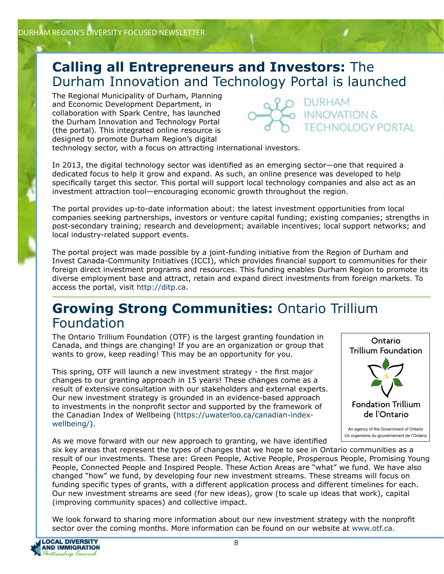# **Calling all Entrepreneurs and Investors:** The Durham Innovation and Technology Portal is launched

The Regional Municipality of Durham, Planning and Economic Development Department, in collaboration with Spark Centre, has launched the Durham Innovation and Technology Portal (the portal). This integrated online resource is designed to promote Durham Region's digital



technology sector, with a focus on attracting international investors.

In 2013, the digital technology sector was identified as an emerging sector—one that required a dedicated focus to help it grow and expand. As such, an online presence was developed to help specifically target this sector. This portal will support local technology companies and also act as an investment attraction tool—encouraging economic growth throughout the region.

The portal provides up-to-date information about: the latest investment opportunities from local companies seeking partnerships, investors or venture capital funding; existing companies; strengths in post-secondary training; research and development; available incentives; local support networks; and local industry-related support events.

The portal project was made possible by a joint-funding initiative from the Region of Durham and Invest Canada-Community Initiatives (ICCI), which provides financial support to communities for their foreign direct investment programs and resources. This funding enables Durham Region to promote its diverse employment base and attract, retain and expand direct investments from foreign markets. To access the portal, visit http://ditp.ca.

# **Growing Strong Communities:** Ontario Trillium Foundation

The Ontario Trillium Foundation (OTF) is the largest granting foundation in Canada, and things are changing! If you are an organization or group that wants to grow, keep reading! This may be an opportunity for you.

This spring, OTF will launch a new investment strategy - the first major changes to our granting approach in 15 years! These changes come as a result of extensive consultation with our stakeholders and external experts. Our new investment strategy is grounded in an evidence-based approach to investments in the nonprofit sector and supported by the framework of the Canadian Index of Wellbeing (https://uwaterloo.ca/canadian-indexwellbeing/).



As we move forward with our new approach to granting, we have identified

six key areas that represent the types of changes that we hope to see in Ontario communities as a result of our investments. These are: Green People, Active People, Prosperous People, Promising Young People, Connected People and Inspired People. These Action Areas are "what" we fund. We have also changed "how" we fund, by developing four new investment streams. These streams will focus on funding specific types of grants, with a different application process and different timelines for each. Our new investment streams are seed (for new ideas), grow (to scale up ideas that work), capital (improving community spaces) and collective impact.

We look forward to sharing more information about our new investment strategy with the nonprofit sector over the coming months. More information can be found on our website at www.otf.ca.

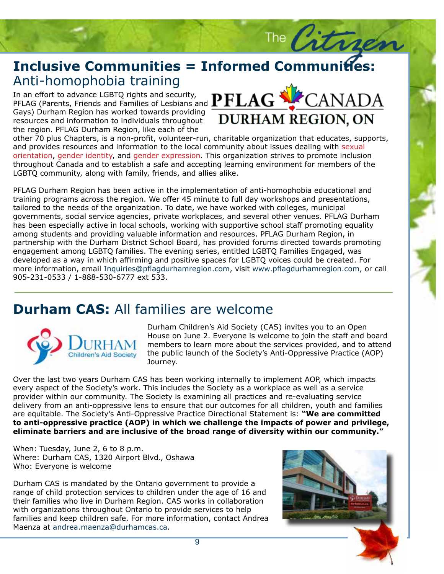# **Inclusive Communities**<br>Anti-homophobia training **Inclusive Communities = Informed Communities:**

In an effort to advance LGBTQ rights and security,<br>PFLAG (Parents, Friends and Families of Lesbians a<br>C resources and information to individuals throughout the region. PFLAG Durham Region, like each of the PFLAG (Parents, Friends and Families of Lesbians and Gays) Durham Region has worked towards providing



The  $\sqrt{27}$ 

other 70 plus Chapters, is a non-profit, volunteer-run, charitable organization that educates, supports, and provides resources and information to the local community about issues dealing with sexual orientation, gender identity, and gender expression. This organization strives to promote inclusion amodo et candad and to establish a sare and decepting rearritions and allies alike.  $\frac{1}{\sqrt{2}}$  , aliquet in, ultrices ut, let  $\frac{1}{\sqrt{2}}$  conditions utilize utilize utilize utilize utilize utilize utilize utilize utilize utilize utilize utilize utilize utilize utilize utilize utilize utilize utilize u throughout Canada and to establish a safe and accepting learning environment for members of the

her venues. PFLAG Durham<br>Il staff promoting equality<br>G Durham Region, in partnership with the Durham District School Board, has provided forums directed towards promo<br>engagement among LGBTQ families. The evening series, entitled LGBTQ Families Engaged, was PFLAG Durham Region has been active in the implementation of anti-homophobia educational and training programs across the region. We offer 45 minute to full day workshops and presentations, tailored to the needs of the organization. To date, we have worked with colleges, municipal governments, social service agencies, private workplaces, and several other venues. PFLAG Durham has been especially active in local schools, working with supportive school staff promoting equality among students and providing valuable information and resources. PFLAG Durham Region, in partnership with the Durham District School Board, has provided forums directed towards promoting developed as a way in which affirming and positive spaces for LGBTQ voices could be created. For more information, email Inquiries@pflagdurhamregion.com, visit www.pflagdurhamregion.com, or call 905-231-0533 / 1-888-530-6777 ext 533.

# **Durham CAS:** All families are welcome



Durham Children's Aid Society (CAS) invites you to an Open House on June 2. Everyone is welcome to join the staff and board members to learn more about the services provided, and to attend the public launch of the Society's Anti-Oppressive Practice (AOP) Journey.

Over the last two years Durham CAS has been working internally to implement AOP, which impacts every aspect of the Society's work. This includes the Society as a workplace as well as a service provider within our community. The Society is examining all practices and re-evaluating service delivery from an anti-oppressive lens to ensure that our outcomes for all children, youth and families are equitable. The Society's Anti-Oppressive Practice Directional Statement is: **"We are committed to anti-oppressive practice (AOP) in which we challenge the impacts of power and privilege, eliminate barriers and are inclusive of the broad range of diversity within our community."** 

When: Tuesday, June 2, 6 to 8 p.m. Where: Durham CAS, 1320 Airport Blvd., Oshawa Who: Everyone is welcome

Durham CAS is mandated by the Ontario government to provide a range of child protection services to children under the age of 16 and their families who live in Durham Region. CAS works in collaboration with organizations throughout Ontario to provide services to help families and keep children safe. For more information, contact Andrea Maenza at andrea.maenza@durhamcas.ca.

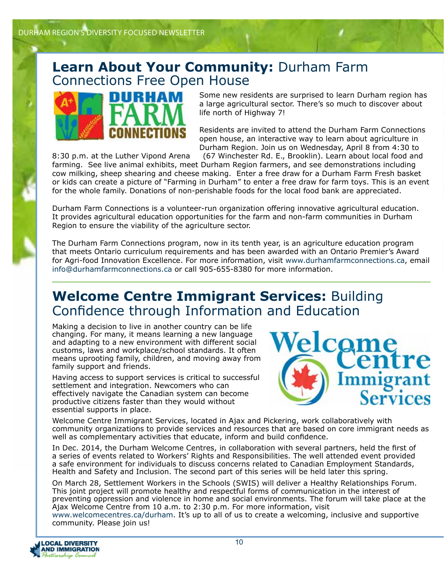## **Learn About Your Community:** Durham Farm Connections Free Open House



Some new residents are surprised to learn Durham region has a large agricultural sector. There's so much to discover about life north of Highway 7!

Residents are invited to attend the Durham Farm Connections open house, an interactive way to learn about agriculture in Durham Region. Join us on Wednesday, April 8 from 4:30 to

8:30 p.m. at the Luther Vipond Arena (67 Winchester Rd. E., Brooklin). Learn about local food and farming. See live animal exhibits, meet Durham Region farmers, and see demonstrations including cow milking, sheep shearing and cheese making. Enter a free draw for a Durham Farm Fresh basket or kids can create a picture of "Farming in Durham" to enter a free draw for farm toys. This is an event for the whole family. Donations of non-perishable foods for the local food bank are appreciated.

Durham Farm Connections is a volunteer-run organization offering innovative agricultural education. It provides agricultural education opportunities for the farm and non-farm communities in Durham Region to ensure the viability of the agriculture sector.

The Durham Farm Connections program, now in its tenth year, is an agriculture education program that meets Ontario curriculum requirements and has been awarded with an Ontario Premier's Award for Agri-food Innovation Excellence. For more information, visit www.durhamfarmconnections.ca, email info@durhamfarmconnections.ca or call 905-655-8380 for more information.

# **Welcome Centre Immigrant Services:** Building Confidence through Information and Education

Making a decision to live in another country can be life changing. For many, it means learning a new language and adapting to a new environment with different social customs, laws and workplace/school standards. It often means uprooting family, children, and moving away from family support and friends.

Having access to support services is critical to successful settlement and integration. Newcomers who can effectively navigate the Canadian system can become productive citizens faster than they would without essential supports in place.



Welcome Centre Immigrant Services, located in Ajax and Pickering, work collaboratively with community organizations to provide services and resources that are based on core immigrant needs as well as complementary activities that educate, inform and build confidence.

In Dec. 2014, the Durham Welcome Centres, in collaboration with several partners, held the first of a series of events related to Workers' Rights and Responsibilities. The well attended event provided a safe environment for individuals to discuss concerns related to Canadian Employment Standards, Health and Safety and Inclusion. The second part of this series will be held later this spring.

On March 28, Settlement Workers in the Schools (SWIS) will deliver a Healthy Relationships Forum. This joint project will promote healthy and respectful forms of communication in the interest of preventing oppression and violence in home and social environments. The forum will take place at the Ajax Welcome Centre from 10 a.m. to 2:30 p.m. For more information, visit www.welcomecentres.ca/durham. It's up to all of us to create a welcoming, inclusive and supportive community. Please join us!

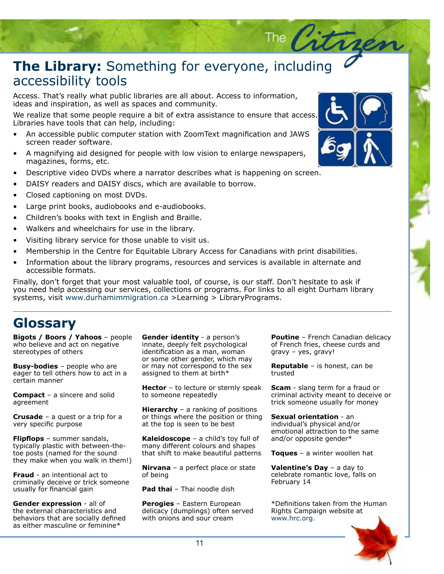# **The Library:** Something for everyone, including<br>accessibility tools accessibility tools

Access. That's really what public libraries are all about. A<br>ideas and inspiration, as well as spaces and community. Access. That's really what public libraries are all about. Access to information,

We realize that some people require a bit of extra assistance to ensure that access. Phasellus dapibus sagittis justo. Aenean pulvinar ligula non ipsum. Ut rutrum Libraries have tools that can help, including:

- An accessible public computer station with ZoomText magnification and JAWS<br>correct reader estware screen reader software.
- A magnifying aid designed for people with low vision to enlarge newspapers, feugiat vitae, feugiat eu, ipsum. Mauris tortor massa, commodo et, sodales ac, magazines, forms, etc.
- Descriptive video DVDs where a narrator describes what is happening on screen.
- enim, tincidum, tincidum, ultrices ut, leo. Sed conditions utilize ut, leo. Sed conditions utilize utilize libero. Sed conditions utilize utilize utilize utilize utilize utilize utilize utilize utilize utilize utilize util • DAISY readers and DAISY discs, which are available to borrow.
- Closed captioning on most DVDs.
- Large print books, audiobooks and e-audiobooks.
- Children's books with text in English and Braille.
- Walkers and wheelchairs for use in the library.
- Visiting library service for those unable to visit us.
- Visiting library service for those unable to visit us.<br>• Membership in the Centre for Equitable Library Access for Canadians with print disabilities.
- Information about the library programs, resources and services is available in alternate and accessible formats.

Finally, don't forget that your most valuable tool, of course, is our staff. Don't hesitate to ask if you need help accessing our services, collections or programs. For links to all eight Durham library systems, visit www.durhamimmigration.ca >Learning > LibraryPrograms.

## **Glossary**

**Bigots / Boors / Yahoos** – people who believe and act on negative stereotypes of others

**Busy-bodies** – people who are eager to tell others how to act in a certain manner

**Compact** – a sincere and solid agreement

**Crusade** – a quest or a trip for a very specific purpose

**Flipflops** – summer sandals, typically plastic with between-thetoe posts (named for the sound they make when you walk in them!)

**Fraud** - an intentional act to criminally deceive or trick someone usually for financial gain

**Gender expression** - all of the external characteristics and behaviors that are socially defined as either masculine or feminine\*

**Gender identity** - a person's innate, deeply felt psychological identification as a man, woman or some other gender, which may or may not correspond to the sex assigned to them at birth\*

**Hector** – to lecture or sternly speak to someone repeatedly

**Hierarchy** – a ranking of positions or things where the position or thing at the top is seen to be best

**Kaleidoscope** – a child's toy full of many different colours and shapes that shift to make beautiful patterns

**Nirvana** – a perfect place or state of being

**Pad thai** – Thai noodle dish

**Perogies** – Eastern European delicacy (dumplings) often served with onions and sour cream

**Poutine** – French Canadian delicacy of French fries, cheese curds and gravy – yes, gravy!

**Reputable** – is honest, can be trusted

**Scam** - slang term for a fraud or criminal activity meant to deceive or trick someone usually for money

**Sexual orientation** - an individual's physical and/or emotional attraction to the same and/or opposite gender\*

**Toques** – a winter woollen hat

**Valentine's Day** – a day to celebrate romantic love, falls on February 14

\*Definitions taken from the Human Rights Campaign website at www.hrc.org.





The  $\sqrt{27}$